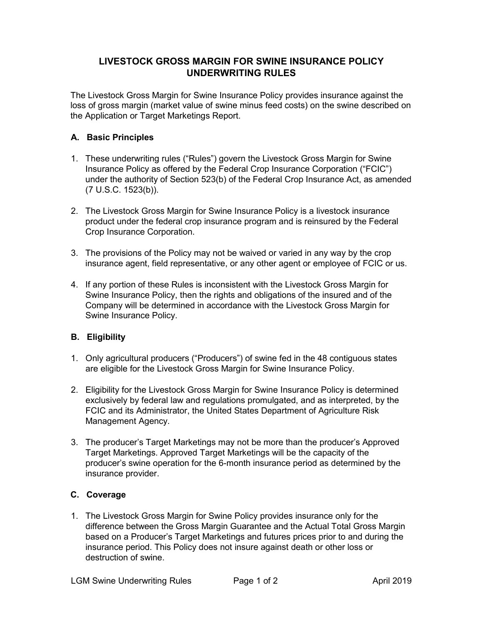## **LIVESTOCK GROSS MARGIN FOR SWINE INSURANCE POLICY UNDERWRITING RULES**

The Livestock Gross Margin for Swine Insurance Policy provides insurance against the loss of gross margin (market value of swine minus feed costs) on the swine described on the Application or Target Marketings Report.

## **A. Basic Principles**

- 1. These underwriting rules ("Rules") govern the Livestock Gross Margin for Swine Insurance Policy as offered by the Federal Crop Insurance Corporation ("FCIC") under the authority of Section 523(b) of the Federal Crop Insurance Act, as amended (7 U.S.C. 1523(b)).
- 2. The Livestock Gross Margin for Swine Insurance Policy is a livestock insurance product under the federal crop insurance program and is reinsured by the Federal Crop Insurance Corporation.
- 3. The provisions of the Policy may not be waived or varied in any way by the crop insurance agent, field representative, or any other agent or employee of FCIC or us.
- 4. If any portion of these Rules is inconsistent with the Livestock Gross Margin for Swine Insurance Policy, then the rights and obligations of the insured and of the Company will be determined in accordance with the Livestock Gross Margin for Swine Insurance Policy.

## **B. Eligibility**

- 1. Only agricultural producers ("Producers") of swine fed in the 48 contiguous states are eligible for the Livestock Gross Margin for Swine Insurance Policy.
- 2. Eligibility for the Livestock Gross Margin for Swine Insurance Policy is determined exclusively by federal law and regulations promulgated, and as interpreted, by the FCIC and its Administrator, the United States Department of Agriculture Risk Management Agency.
- 3. The producer's Target Marketings may not be more than the producer's Approved Target Marketings. Approved Target Marketings will be the capacity of the producer's swine operation for the 6-month insurance period as determined by the insurance provider.

## **C. Coverage**

1. The Livestock Gross Margin for Swine Policy provides insurance only for the difference between the Gross Margin Guarantee and the Actual Total Gross Margin based on a Producer's Target Marketings and futures prices prior to and during the insurance period. This Policy does not insure against death or other loss or destruction of swine.